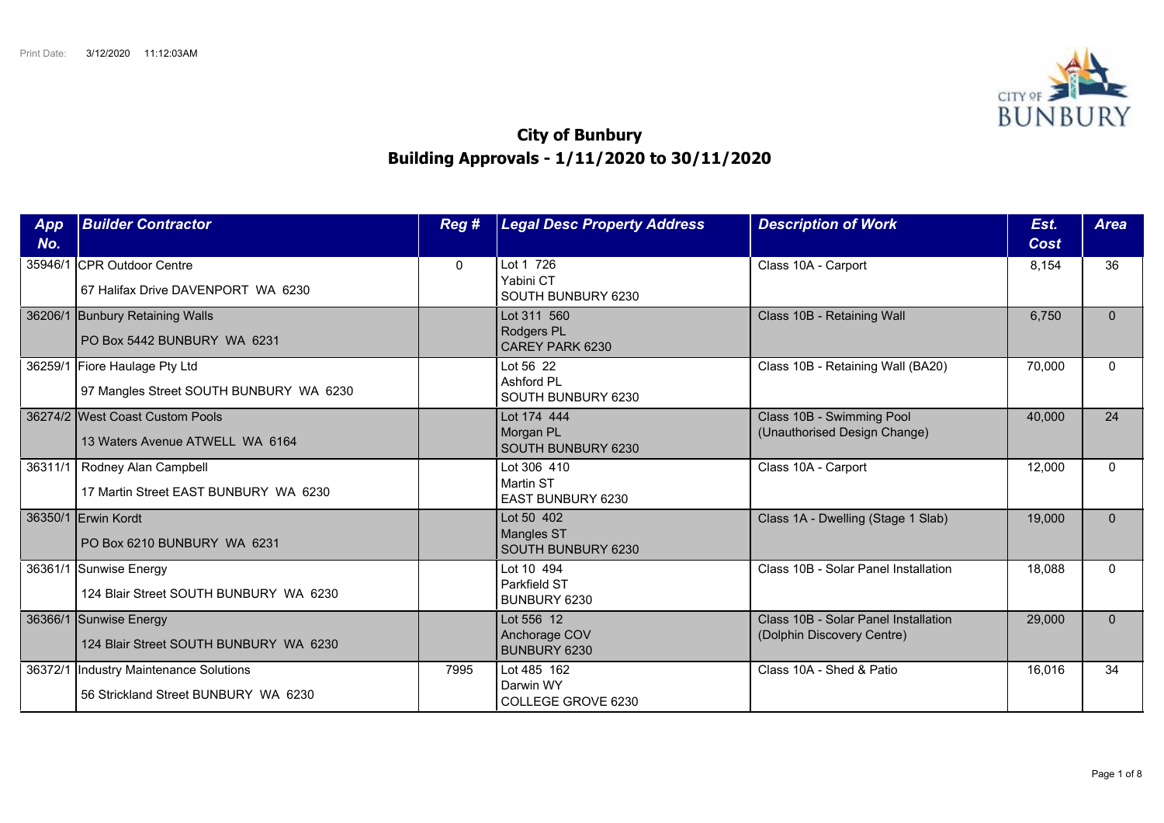

## **City of Bunbury Building Approvals - 1/11/2020 to 30/11/2020**

| App<br>No. | <b>Builder Contractor</b>                                                       | Reg #        | <b>Legal Desc Property Address</b>                    | <b>Description of Work</b>                                         | Est.<br>Cost | <b>Area</b> |
|------------|---------------------------------------------------------------------------------|--------------|-------------------------------------------------------|--------------------------------------------------------------------|--------------|-------------|
|            | 35946/1 CPR Outdoor Centre<br>67 Halifax Drive DAVENPORT WA 6230                | $\mathbf{0}$ | Lot 1 726<br>Yabini CT<br>SOUTH BUNBURY 6230          | Class 10A - Carport                                                | 8,154        | 36          |
|            | 36206/1 Bunbury Retaining Walls<br>PO Box 5442 BUNBURY WA 6231                  |              | Lot 311 560<br>Rodgers PL<br>CAREY PARK 6230          | Class 10B - Retaining Wall                                         | 6.750        | $\Omega$    |
|            | 36259/1 Fiore Haulage Pty Ltd<br>97 Mangles Street SOUTH BUNBURY WA 6230        |              | Lot 56 22<br>Ashford PL<br>SOUTH BUNBURY 6230         | Class 10B - Retaining Wall (BA20)                                  | 70,000       | $\Omega$    |
|            | 36274/2 West Coast Custom Pools<br>13 Waters Avenue ATWELL WA 6164              |              | Lot 174 444<br>Morgan PL<br>SOUTH BUNBURY 6230        | Class 10B - Swimming Pool<br>(Unauthorised Design Change)          | 40.000       | 24          |
|            | 36311/1   Rodney Alan Campbell<br>17 Martin Street EAST BUNBURY WA 6230         |              | Lot 306 410<br>Martin ST<br>EAST BUNBURY 6230         | Class 10A - Carport                                                | 12,000       | $\Omega$    |
|            | 36350/1 Erwin Kordt<br>PO Box 6210 BUNBURY WA 6231                              |              | Lot 50 402<br><b>Mangles ST</b><br>SOUTH BUNBURY 6230 | Class 1A - Dwelling (Stage 1 Slab)                                 | 19,000       | $\Omega$    |
|            | 36361/1 Sunwise Energy<br>124 Blair Street SOUTH BUNBURY WA 6230                |              | Lot 10 494<br>Parkfield ST<br>BUNBURY 6230            | Class 10B - Solar Panel Installation                               | 18,088       | $\Omega$    |
|            | 36366/1 Sunwise Energy<br>124 Blair Street SOUTH BUNBURY WA 6230                |              | Lot 556 12<br>Anchorage COV<br>BUNBURY 6230           | Class 10B - Solar Panel Installation<br>(Dolphin Discovery Centre) | 29,000       | $\Omega$    |
|            | 36372/1  Industry Maintenance Solutions<br>56 Strickland Street BUNBURY WA 6230 | 7995         | Lot 485 162<br>Darwin WY<br>COLLEGE GROVE 6230        | Class 10A - Shed & Patio                                           | 16,016       | 34          |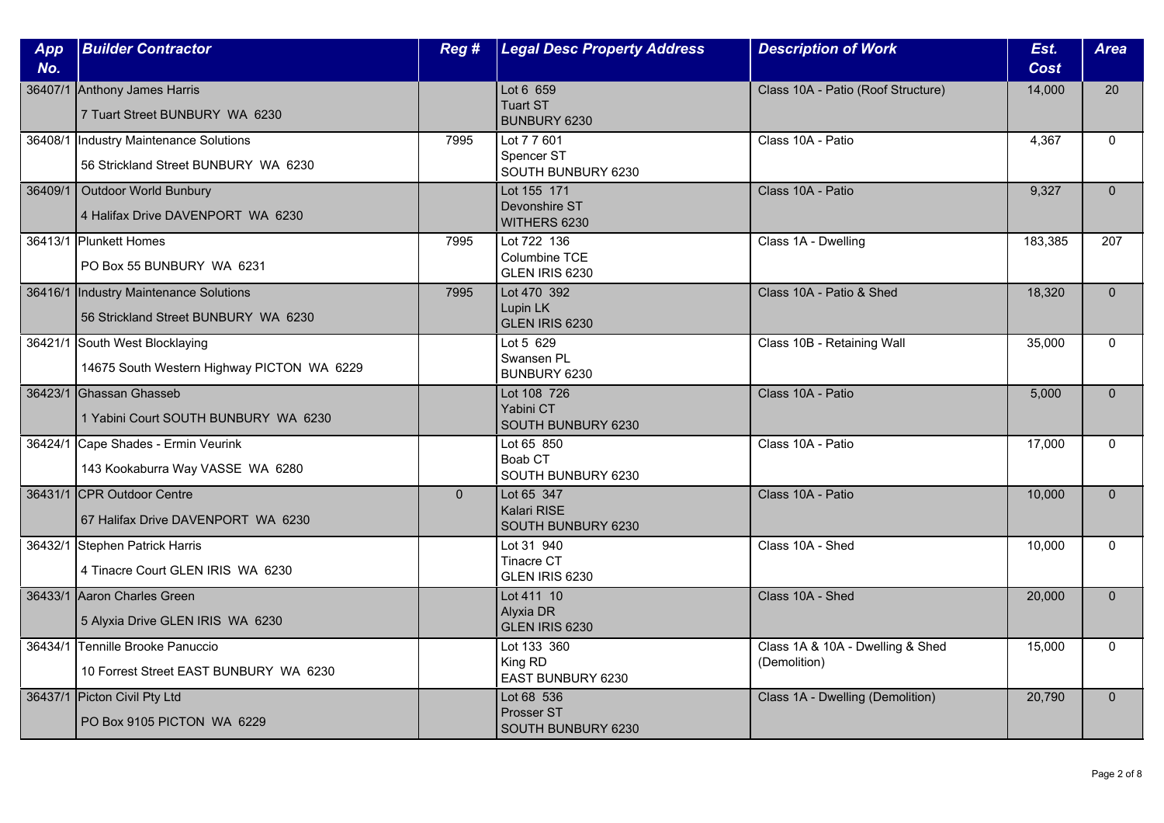| App<br>No. | <b>Builder Contractor</b>                                                       | Reg#         | <b>Legal Desc Property Address</b>              | <b>Description of Work</b>                       | Est.<br><b>Cost</b> | <b>Area</b>  |
|------------|---------------------------------------------------------------------------------|--------------|-------------------------------------------------|--------------------------------------------------|---------------------|--------------|
|            | 36407/1 Anthony James Harris<br>7 Tuart Street BUNBURY WA 6230                  |              | Lot 6 659<br><b>Tuart ST</b><br>BUNBURY 6230    | Class 10A - Patio (Roof Structure)               | 14,000              | 20           |
|            | 36408/1  Industry Maintenance Solutions<br>56 Strickland Street BUNBURY WA 6230 | 7995         | Lot 7 7 601<br>Spencer ST<br>SOUTH BUNBURY 6230 | Class 10A - Patio                                | 4,367               | $\mathbf{0}$ |
| 36409/1    | Outdoor World Bunbury<br>4 Halifax Drive DAVENPORT WA 6230                      |              | Lot 155 171<br>Devonshire ST<br>WITHERS 6230    | Class 10A - Patio                                | 9,327               | $\mathbf{0}$ |
|            | 36413/1 Plunkett Homes<br>PO Box 55 BUNBURY WA 6231                             | 7995         | Lot 722 136<br>Columbine TCE<br>GLEN IRIS 6230  | Class 1A - Dwelling                              | 183,385             | 207          |
|            | 36416/1  Industry Maintenance Solutions<br>56 Strickland Street BUNBURY WA 6230 | 7995         | Lot 470 392<br>Lupin LK<br>GLEN IRIS 6230       | Class 10A - Patio & Shed                         | 18,320              | $\mathbf{0}$ |
|            | 36421/1 South West Blocklaying<br>14675 South Western Highway PICTON WA 6229    |              | Lot 5 629<br>Swansen PL<br>BUNBURY 6230         | Class 10B - Retaining Wall                       | 35,000              | $\Omega$     |
|            | 36423/1 Ghassan Ghasseb<br>1 Yabini Court SOUTH BUNBURY WA 6230                 |              | Lot 108 726<br>Yabini CT<br>SOUTH BUNBURY 6230  | Class 10A - Patio                                | 5,000               | $\mathbf{0}$ |
|            | 36424/1 Cape Shades - Ermin Veurink<br>143 Kookaburra Way VASSE WA 6280         |              | Lot 65 850<br>Boab CT<br>SOUTH BUNBURY 6230     | Class 10A - Patio                                | 17,000              | $\Omega$     |
|            | 36431/1 CPR Outdoor Centre<br>67 Halifax Drive DAVENPORT WA 6230                | $\mathbf{0}$ | Lot 65 347<br>Kalari RISE<br>SOUTH BUNBURY 6230 | Class 10A - Patio                                | 10,000              | $\Omega$     |
|            | 36432/1 Stephen Patrick Harris<br>4 Tinacre Court GLEN IRIS WA 6230             |              | Lot 31 940<br>Tinacre CT<br>GLEN IRIS 6230      | Class 10A - Shed                                 | 10,000              | $\mathbf{0}$ |
|            | 36433/1 Aaron Charles Green<br>5 Alyxia Drive GLEN IRIS WA 6230                 |              | Lot 411 10<br>Alyxia DR<br>GLEN IRIS 6230       | Class 10A - Shed                                 | 20,000              | $\mathbf{0}$ |
|            | 36434/1 Tennille Brooke Panuccio<br>10 Forrest Street EAST BUNBURY WA 6230      |              | Lot 133 360<br>King RD<br>EAST BUNBURY 6230     | Class 1A & 10A - Dwelling & Shed<br>(Demolition) | 15,000              | $\mathbf{0}$ |
|            | 36437/1 Picton Civil Pty Ltd<br>PO Box 9105 PICTON WA 6229                      |              | Lot 68 536<br>Prosser ST<br>SOUTH BUNBURY 6230  | Class 1A - Dwelling (Demolition)                 | 20,790              | $\mathbf{0}$ |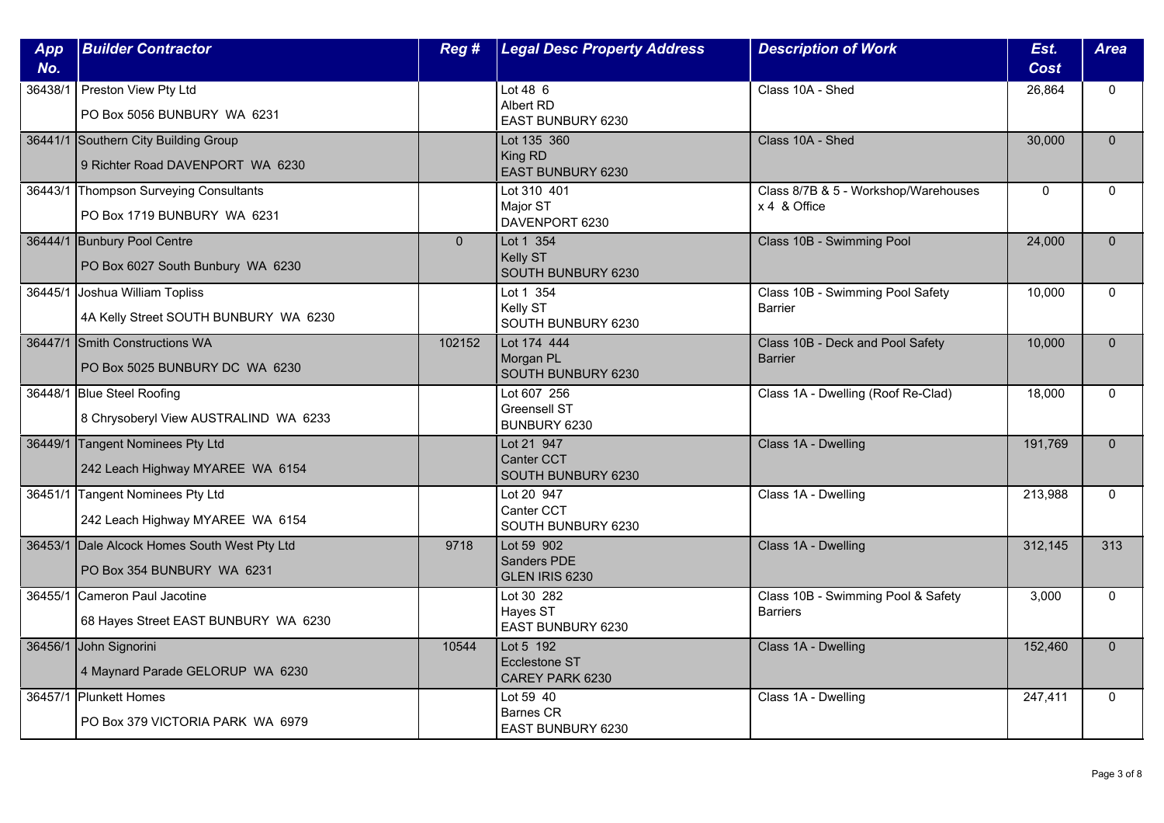| App<br>No. | <b>Builder Contractor</b>                                                  | Reg#     | <b>Legal Desc Property Address</b>                 | <b>Description of Work</b>                            | Est.<br><b>Cost</b> | Area         |
|------------|----------------------------------------------------------------------------|----------|----------------------------------------------------|-------------------------------------------------------|---------------------|--------------|
| 36438/1    | Preston View Pty Ltd<br>PO Box 5056 BUNBURY WA 6231                        |          | Lot 48 6<br>Albert RD<br>EAST BUNBURY 6230         | Class 10A - Shed                                      | 26,864              | $\mathbf{0}$ |
|            | 36441/1 Southern City Building Group<br>9 Richter Road DAVENPORT WA 6230   |          | Lot 135 360<br>King RD<br>EAST BUNBURY 6230        | Class 10A - Shed                                      | 30,000              | $\Omega$     |
|            | 36443/1 Thompson Surveying Consultants<br>PO Box 1719 BUNBURY WA 6231      |          | Lot 310 401<br>Major ST<br>DAVENPORT 6230          | Class 8/7B & 5 - Workshop/Warehouses<br>x 4 & Office  | $\mathbf 0$         | $\mathbf{0}$ |
|            | 36444/1 Bunbury Pool Centre<br>PO Box 6027 South Bunbury WA 6230           | $\Omega$ | Lot 1 354<br>Kelly ST<br>SOUTH BUNBURY 6230        | Class 10B - Swimming Pool                             | 24,000              | $\mathbf{0}$ |
|            | 36445/1 Joshua William Topliss<br>4A Kelly Street SOUTH BUNBURY WA 6230    |          | Lot 1 354<br>Kelly ST<br>SOUTH BUNBURY 6230        | Class 10B - Swimming Pool Safety<br><b>Barrier</b>    | 10,000              | $\Omega$     |
|            | 36447/1 Smith Constructions WA<br>PO Box 5025 BUNBURY DC WA 6230           | 102152   | Lot 174 444<br>Morgan PL<br>SOUTH BUNBURY 6230     | Class 10B - Deck and Pool Safety<br><b>Barrier</b>    | 10,000              | $\Omega$     |
|            | 36448/1 Blue Steel Roofing<br>8 Chrysoberyl View AUSTRALIND WA 6233        |          | Lot 607 256<br>Greensell ST<br>BUNBURY 6230        | Class 1A - Dwelling (Roof Re-Clad)                    | 18,000              | $\mathbf 0$  |
|            | 36449/1 Tangent Nominees Pty Ltd<br>242 Leach Highway MYAREE WA 6154       |          | Lot 21 947<br>Canter CCT<br>SOUTH BUNBURY 6230     | Class 1A - Dwelling                                   | 191,769             | $\mathbf{0}$ |
|            | 36451/1 Tangent Nominees Pty Ltd<br>242 Leach Highway MYAREE WA 6154       |          | Lot 20 947<br>Canter CCT<br>SOUTH BUNBURY 6230     | Class 1A - Dwelling                                   | 213,988             | $\Omega$     |
|            | 36453/1 Dale Alcock Homes South West Pty Ltd<br>PO Box 354 BUNBURY WA 6231 | 9718     | Lot 59 902<br>Sanders PDE<br>GLEN IRIS 6230        | Class 1A - Dwelling                                   | 312,145             | 313          |
|            | 36455/1 Cameron Paul Jacotine<br>68 Hayes Street EAST BUNBURY WA 6230      |          | Lot 30 282<br>Hayes ST<br>EAST BUNBURY 6230        | Class 10B - Swimming Pool & Safety<br><b>Barriers</b> | 3,000               | $\mathbf{0}$ |
|            | 36456/1 John Signorini<br>4 Maynard Parade GELORUP WA 6230                 | 10544    | Lot 5 192<br>Ecclestone ST<br>CAREY PARK 6230      | Class 1A - Dwelling                                   | 152,460             | $\Omega$     |
|            | 36457/1 Plunkett Homes<br>PO Box 379 VICTORIA PARK WA 6979                 |          | Lot 59 40<br><b>Barnes CR</b><br>EAST BUNBURY 6230 | Class 1A - Dwelling                                   | 247,411             | $\mathbf{0}$ |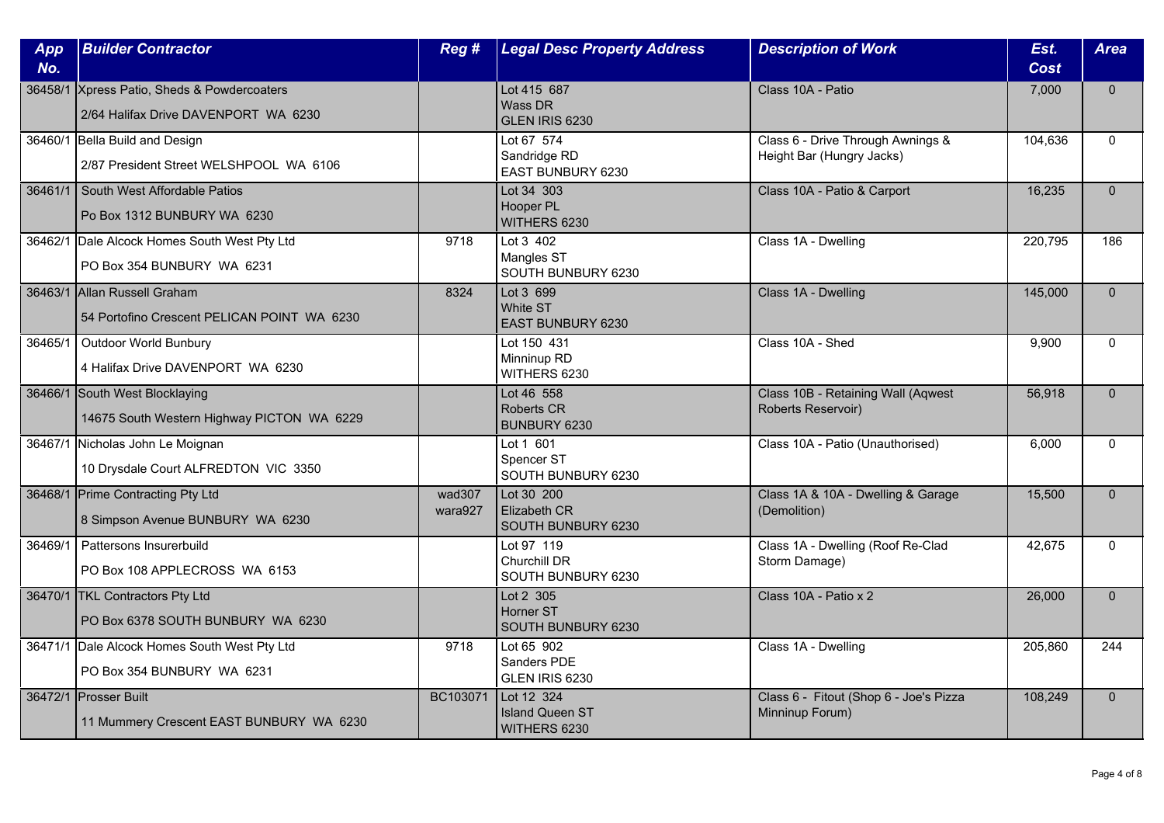| App<br>No. | <b>Builder Contractor</b>                                                           | Reg#              | <b>Legal Desc Property Address</b>                   | <b>Description of Work</b>                                     | Est.<br>Cost | <b>Area</b>  |
|------------|-------------------------------------------------------------------------------------|-------------------|------------------------------------------------------|----------------------------------------------------------------|--------------|--------------|
|            | 36458/1 Xpress Patio, Sheds & Powdercoaters<br>2/64 Halifax Drive DAVENPORT WA 6230 |                   | Lot 415 687<br>Wass DR<br>GLEN IRIS 6230             | Class 10A - Patio                                              | 7,000        | $\mathbf{0}$ |
|            | 36460/1 Bella Build and Design<br>2/87 President Street WELSHPOOL WA 6106           |                   | Lot 67 574<br>Sandridge RD<br>EAST BUNBURY 6230      | Class 6 - Drive Through Awnings &<br>Height Bar (Hungry Jacks) | 104,636      | $\Omega$     |
|            | 36461/1 South West Affordable Patios<br>Po Box 1312 BUNBURY WA 6230                 |                   | Lot 34 303<br>Hooper PL<br>WITHERS 6230              | Class 10A - Patio & Carport                                    | 16,235       | $\Omega$     |
|            | 36462/1 Dale Alcock Homes South West Pty Ltd<br>PO Box 354 BUNBURY WA 6231          | 9718              | Lot 3 402<br>Mangles ST<br>SOUTH BUNBURY 6230        | Class 1A - Dwelling                                            | 220,795      | 186          |
|            | 36463/1 Allan Russell Graham<br>54 Portofino Crescent PELICAN POINT WA 6230         | 8324              | Lot 3 699<br>White ST<br><b>EAST BUNBURY 6230</b>    | Class 1A - Dwelling                                            | 145,000      | $\Omega$     |
| 36465/1    | Outdoor World Bunbury<br>4 Halifax Drive DAVENPORT WA 6230                          |                   | Lot 150 431<br>Minninup RD<br>WITHERS 6230           | Class 10A - Shed                                               | 9,900        | $\Omega$     |
|            | 36466/1 South West Blocklaying<br>14675 South Western Highway PICTON WA 6229        |                   | Lot 46 558<br><b>Roberts CR</b><br>BUNBURY 6230      | Class 10B - Retaining Wall (Aqwest<br>Roberts Reservoir)       | 56,918       | $\mathbf{0}$ |
|            | 36467/1 Nicholas John Le Moignan<br>10 Drysdale Court ALFREDTON VIC 3350            |                   | Lot 1 601<br>Spencer ST<br>SOUTH BUNBURY 6230        | Class 10A - Patio (Unauthorised)                               | 6,000        | $\Omega$     |
|            | 36468/1 Prime Contracting Pty Ltd<br>8 Simpson Avenue BUNBURY WA 6230               | wad307<br>wara927 | Lot 30 200<br>Elizabeth CR<br>SOUTH BUNBURY 6230     | Class 1A & 10A - Dwelling & Garage<br>(Demolition)             | 15,500       | $\Omega$     |
| 36469/1    | Pattersons Insurerbuild<br>PO Box 108 APPLECROSS WA 6153                            |                   | Lot 97 119<br>Churchill DR<br>SOUTH BUNBURY 6230     | Class 1A - Dwelling (Roof Re-Clad<br>Storm Damage)             | 42,675       | $\mathbf{0}$ |
|            | 36470/1 TKL Contractors Pty Ltd<br>PO Box 6378 SOUTH BUNBURY WA 6230                |                   | Lot 2 305<br>Horner ST<br>SOUTH BUNBURY 6230         | Class 10A - Patio x 2                                          | 26,000       | $\mathbf{0}$ |
|            | 36471/1 Dale Alcock Homes South West Pty Ltd<br>PO Box 354 BUNBURY WA 6231          | 9718              | Lot 65 902<br>Sanders PDE<br>GLEN IRIS 6230          | Class 1A - Dwelling                                            | 205,860      | 244          |
|            | 36472/1 Prosser Built<br>11 Mummery Crescent EAST BUNBURY WA 6230                   | BC103071          | Lot 12 324<br><b>Island Queen ST</b><br>WITHERS 6230 | Class 6 - Fitout (Shop 6 - Joe's Pizza<br>Minninup Forum)      | 108,249      | $\mathbf{0}$ |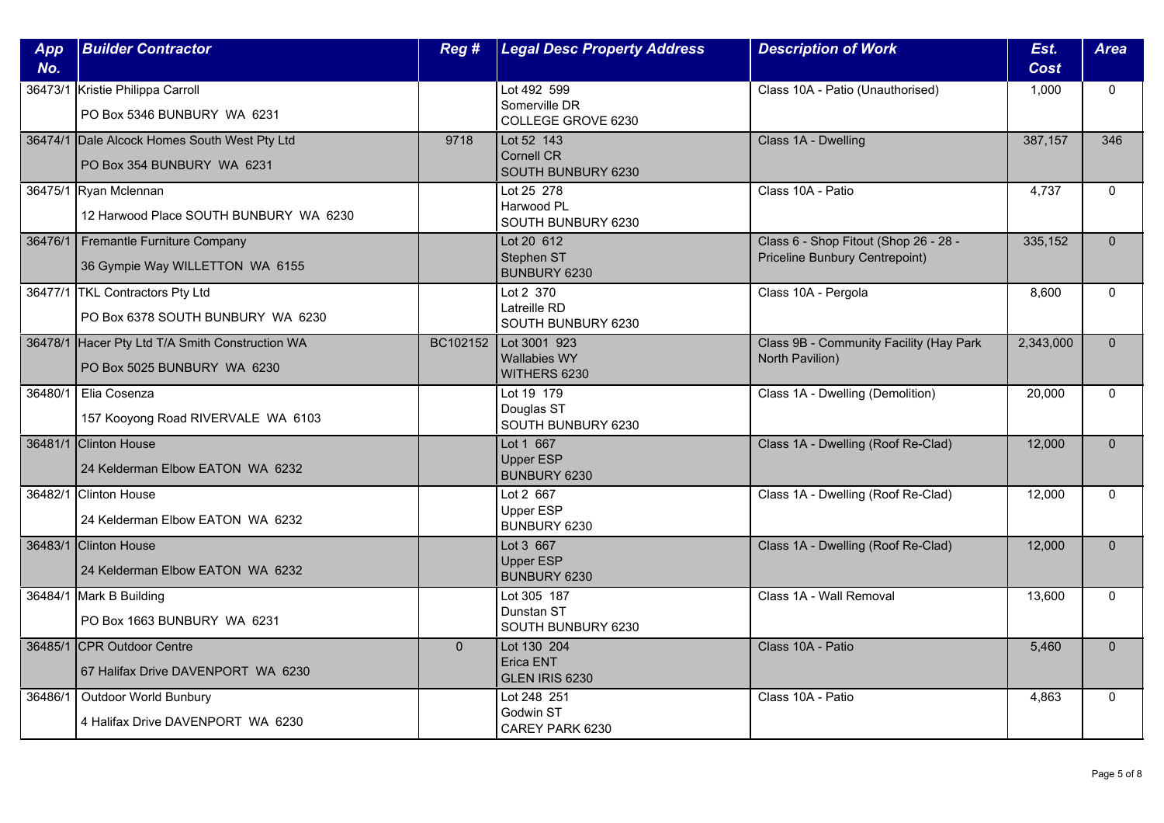| App<br>No. | <b>Builder Contractor</b>                                                      | Reg#     | <b>Legal Desc Property Address</b>                    | <b>Description of Work</b>                                              | Est.<br><b>Cost</b> | <b>Area</b>  |
|------------|--------------------------------------------------------------------------------|----------|-------------------------------------------------------|-------------------------------------------------------------------------|---------------------|--------------|
|            | 36473/1 Kristie Philippa Carroll<br>PO Box 5346 BUNBURY WA 6231                |          | Lot 492 599<br>Somerville DR<br>COLLEGE GROVE 6230    | Class 10A - Patio (Unauthorised)                                        | 1,000               | $\mathbf{0}$ |
|            | 36474/1 Dale Alcock Homes South West Pty Ltd<br>PO Box 354 BUNBURY WA 6231     | 9718     | Lot 52 143<br><b>Cornell CR</b><br>SOUTH BUNBURY 6230 | Class 1A - Dwelling                                                     | 387,157             | 346          |
|            | 36475/1 Ryan Mclennan<br>12 Harwood Place SOUTH BUNBURY WA 6230                |          | Lot 25 278<br>Harwood PL<br>SOUTH BUNBURY 6230        | Class 10A - Patio                                                       | 4,737               | $\Omega$     |
|            | 36476/1   Fremantle Furniture Company<br>36 Gympie Way WILLETTON WA 6155       |          | Lot 20 612<br>Stephen ST<br>BUNBURY 6230              | Class 6 - Shop Fitout (Shop 26 - 28 -<br>Priceline Bunbury Centrepoint) | 335,152             | $\Omega$     |
|            | 36477/1 TKL Contractors Pty Ltd<br>PO Box 6378 SOUTH BUNBURY WA 6230           |          | Lot 2 370<br>Latreille RD<br>SOUTH BUNBURY 6230       | Class 10A - Pergola                                                     | 8,600               | $\Omega$     |
|            | 36478/1 Hacer Pty Ltd T/A Smith Construction WA<br>PO Box 5025 BUNBURY WA 6230 | BC102152 | Lot 3001 923<br><b>Wallabies WY</b><br>WITHERS 6230   | Class 9B - Community Facility (Hay Park<br>North Pavilion)              | 2,343,000           | $\Omega$     |
|            | 36480/1   Elia Cosenza<br>157 Kooyong Road RIVERVALE WA 6103                   |          | Lot 19 179<br>Douglas ST<br>SOUTH BUNBURY 6230        | Class 1A - Dwelling (Demolition)                                        | 20,000              | 0            |
|            | 36481/1 Clinton House<br>24 Kelderman Elbow EATON WA 6232                      |          | Lot 1 667<br><b>Upper ESP</b><br>BUNBURY 6230         | Class 1A - Dwelling (Roof Re-Clad)                                      | 12,000              | $\Omega$     |
|            | 36482/1 Clinton House<br>24 Kelderman Elbow EATON WA 6232                      |          | Lot 2 667<br><b>Upper ESP</b><br>BUNBURY 6230         | Class 1A - Dwelling (Roof Re-Clad)                                      | 12,000              | $\Omega$     |
|            | 36483/1 Clinton House<br>24 Kelderman Elbow EATON WA 6232                      |          | Lot 3 667<br><b>Upper ESP</b><br>BUNBURY 6230         | Class 1A - Dwelling (Roof Re-Clad)                                      | 12,000              | $\Omega$     |
|            | 36484/1 Mark B Building<br>PO Box 1663 BUNBURY WA 6231                         |          | Lot 305 187<br>Dunstan ST<br>SOUTH BUNBURY 6230       | Class 1A - Wall Removal                                                 | 13,600              | $\mathbf{0}$ |
|            | 36485/1 CPR Outdoor Centre<br>67 Halifax Drive DAVENPORT WA 6230               | $\Omega$ | Lot 130 204<br>Erica ENT<br>GLEN IRIS 6230            | Class 10A - Patio                                                       | 5,460               | $\Omega$     |
| 36486/1    | Outdoor World Bunbury<br>4 Halifax Drive DAVENPORT WA 6230                     |          | Lot 248 251<br>Godwin ST<br>CAREY PARK 6230           | Class 10A - Patio                                                       | 4,863               | $\mathbf{0}$ |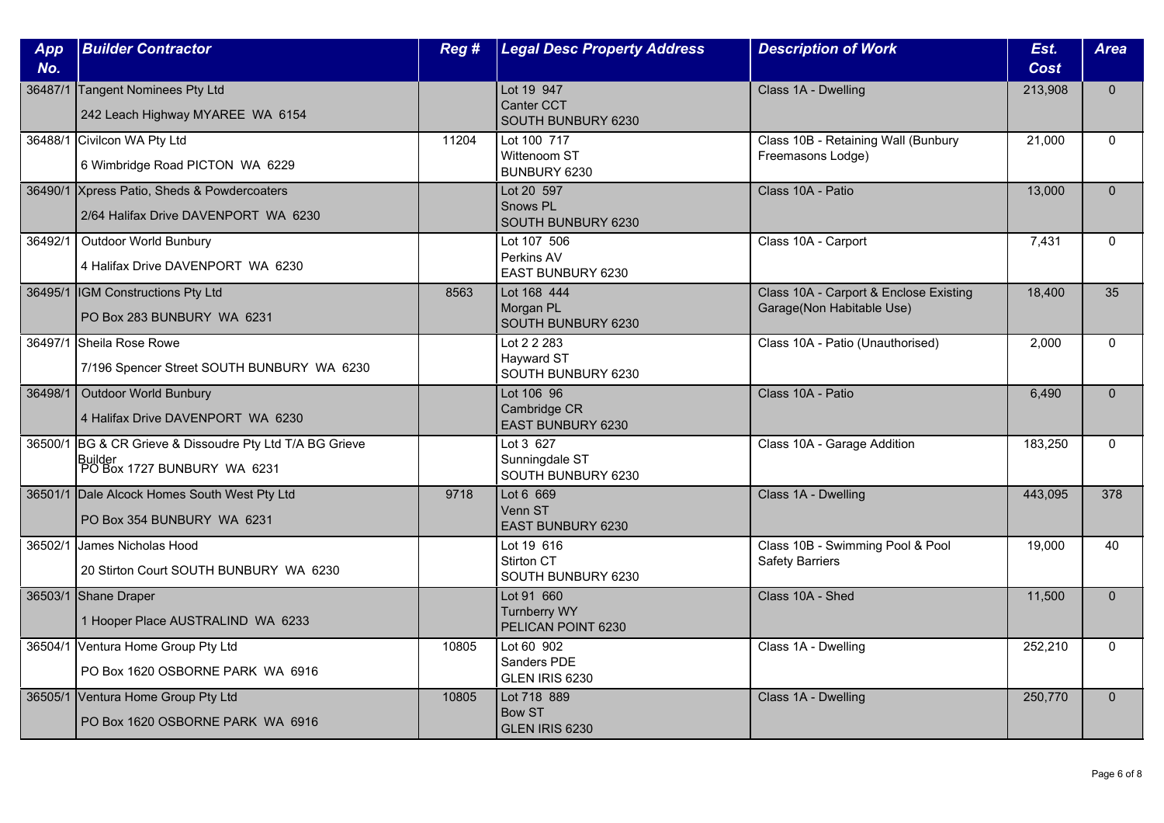| App     | <b>Builder Contractor</b>                                    | Reg#  | <b>Legal Desc Property Address</b>        | <b>Description of Work</b>                               | Est.        | <b>Area</b>  |
|---------|--------------------------------------------------------------|-------|-------------------------------------------|----------------------------------------------------------|-------------|--------------|
| No.     |                                                              |       |                                           |                                                          | <b>Cost</b> |              |
| 36487/1 | Tangent Nominees Pty Ltd<br>242 Leach Highway MYAREE WA 6154 |       | Lot 19 947<br>Canter CCT                  | Class 1A - Dwelling                                      | 213,908     | $\Omega$     |
|         |                                                              |       | SOUTH BUNBURY 6230                        |                                                          |             |              |
|         | 36488/1 Civilcon WA Pty Ltd                                  | 11204 | Lot 100 717<br>Wittenoom ST               | Class 10B - Retaining Wall (Bunbury<br>Freemasons Lodge) | 21,000      | $\mathbf{0}$ |
|         | 6 Wimbridge Road PICTON WA 6229                              |       | BUNBURY 6230                              |                                                          |             |              |
|         | 36490/1 Xpress Patio, Sheds & Powdercoaters                  |       | Lot 20 597                                | Class 10A - Patio                                        | 13,000      | $\mathbf{0}$ |
|         | 2/64 Halifax Drive DAVENPORT WA 6230                         |       | Snows PL<br>SOUTH BUNBURY 6230            |                                                          |             |              |
| 36492/1 | Outdoor World Bunbury                                        |       | Lot 107 506                               | Class 10A - Carport                                      | 7,431       | $\Omega$     |
|         | 4 Halifax Drive DAVENPORT WA 6230                            |       | Perkins AV<br>EAST BUNBURY 6230           |                                                          |             |              |
|         | 36495/1 IGM Constructions Pty Ltd                            | 8563  | Lot 168 444                               | Class 10A - Carport & Enclose Existing                   | 18,400      | 35           |
|         | PO Box 283 BUNBURY WA 6231                                   |       | Morgan PL<br>SOUTH BUNBURY 6230           | Garage(Non Habitable Use)                                |             |              |
|         | 36497/1 Sheila Rose Rowe                                     |       | Lot 2 2 283                               | Class 10A - Patio (Unauthorised)                         | 2,000       | $\mathbf{0}$ |
|         | 7/196 Spencer Street SOUTH BUNBURY WA 6230                   |       | Hayward ST<br>SOUTH BUNBURY 6230          |                                                          |             |              |
| 36498/1 | Outdoor World Bunbury                                        |       | Lot 106 96                                | Class 10A - Patio                                        | 6,490       | $\mathbf{0}$ |
|         | 4 Halifax Drive DAVENPORT WA 6230                            |       | Cambridge CR<br>EAST BUNBURY 6230         |                                                          |             |              |
| 36500/1 | BG & CR Grieve & Dissoudre Pty Ltd T/A BG Grieve             |       | Lot 3 627                                 | Class 10A - Garage Addition                              | 183,250     | $\Omega$     |
|         | Builder<br>PO Box 1727 BUNBURY WA 6231                       |       | Sunningdale ST<br>SOUTH BUNBURY 6230      |                                                          |             |              |
|         | 36501/1 Dale Alcock Homes South West Pty Ltd                 | 9718  | Lot 6 669                                 | Class 1A - Dwelling                                      | 443,095     | 378          |
|         | PO Box 354 BUNBURY WA 6231                                   |       | Venn ST<br><b>EAST BUNBURY 6230</b>       |                                                          |             |              |
|         | 36502/1 James Nicholas Hood                                  |       | Lot 19 616                                | Class 10B - Swimming Pool & Pool                         | 19,000      | 40           |
|         | 20 Stirton Court SOUTH BUNBURY WA 6230                       |       | Stirton CT<br>SOUTH BUNBURY 6230          | <b>Safety Barriers</b>                                   |             |              |
|         | 36503/1 Shane Draper                                         |       | Lot 91 660                                | Class 10A - Shed                                         | 11,500      | $\mathbf{0}$ |
|         | 1 Hooper Place AUSTRALIND WA 6233                            |       | <b>Turnberry WY</b><br>PELICAN POINT 6230 |                                                          |             |              |
|         | 36504/1 Ventura Home Group Pty Ltd                           | 10805 | Lot 60 902                                | Class 1A - Dwelling                                      | 252,210     | $\Omega$     |
|         | PO Box 1620 OSBORNE PARK WA 6916                             |       | Sanders PDE<br>GLEN IRIS 6230             |                                                          |             |              |
|         | 36505/1 Ventura Home Group Pty Ltd                           | 10805 | Lot 718 889                               | Class 1A - Dwelling                                      | 250,770     | $\mathbf{0}$ |
|         | PO Box 1620 OSBORNE PARK WA 6916                             |       | <b>Bow ST</b><br>GLEN IRIS 6230           |                                                          |             |              |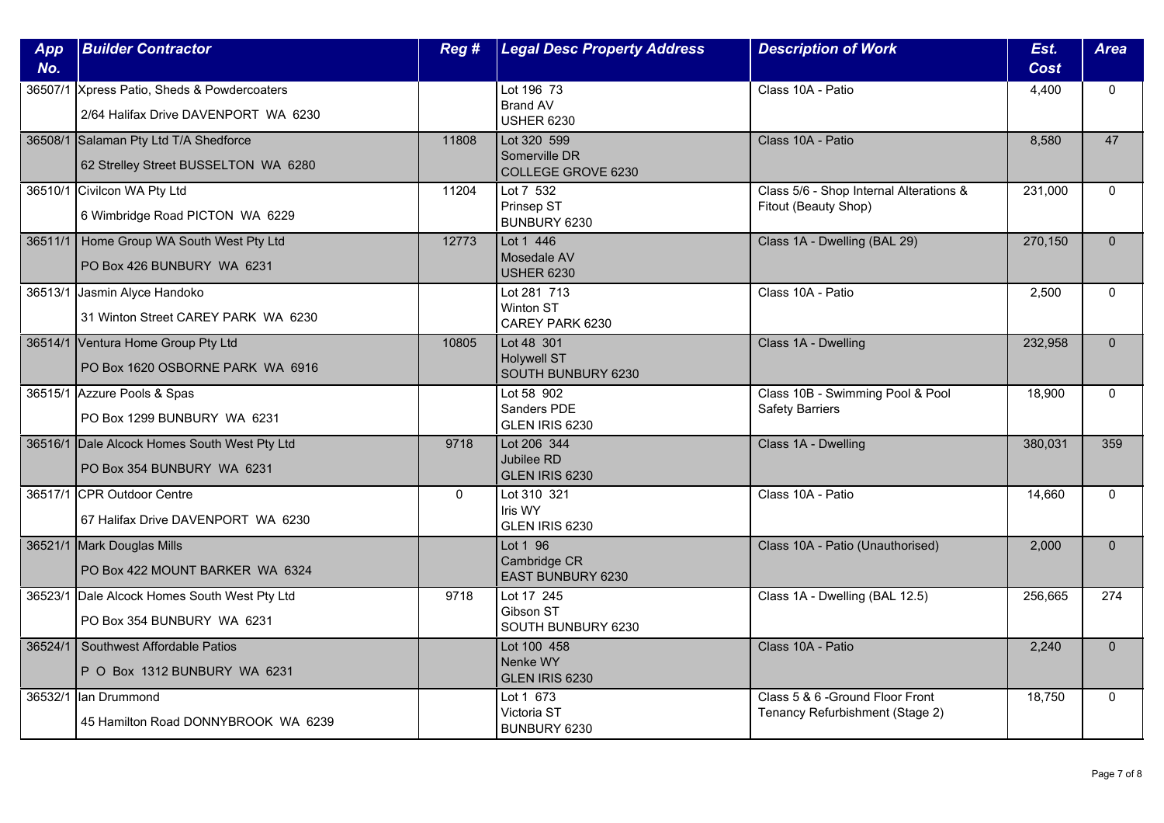| App<br>No. | <b>Builder Contractor</b>                                                           | Reg#     | <b>Legal Desc Property Address</b>                     | <b>Description of Work</b>                                          | Est.<br>Cost | <b>Area</b>  |
|------------|-------------------------------------------------------------------------------------|----------|--------------------------------------------------------|---------------------------------------------------------------------|--------------|--------------|
|            | 36507/1 Xpress Patio, Sheds & Powdercoaters<br>2/64 Halifax Drive DAVENPORT WA 6230 |          | Lot 196 73<br><b>Brand AV</b><br><b>USHER 6230</b>     | Class 10A - Patio                                                   | 4,400        | $\mathbf{0}$ |
|            | 36508/1 Salaman Pty Ltd T/A Shedforce<br>62 Strelley Street BUSSELTON WA 6280       | 11808    | Lot 320 599<br>Somerville DR<br>COLLEGE GROVE 6230     | Class 10A - Patio                                                   | 8,580        | 47           |
|            | 36510/1 Civilcon WA Pty Ltd<br>6 Wimbridge Road PICTON WA 6229                      | 11204    | Lot 7 532<br>Prinsep ST<br>BUNBURY 6230                | Class 5/6 - Shop Internal Alterations &<br>Fitout (Beauty Shop)     | 231,000      | $\Omega$     |
|            | 36511/1   Home Group WA South West Pty Ltd<br>PO Box 426 BUNBURY WA 6231            | 12773    | Lot 1 446<br>Mosedale AV<br><b>USHER 6230</b>          | Class 1A - Dwelling (BAL 29)                                        | 270,150      | $\mathbf{0}$ |
| 36513/1    | Jasmin Alyce Handoko<br>31 Winton Street CAREY PARK WA 6230                         |          | Lot 281 713<br>Winton ST<br>CAREY PARK 6230            | Class 10A - Patio                                                   | 2,500        | $\mathbf{0}$ |
|            | 36514/1 Ventura Home Group Pty Ltd<br>PO Box 1620 OSBORNE PARK WA 6916              | 10805    | Lot 48 301<br><b>Holywell ST</b><br>SOUTH BUNBURY 6230 | Class 1A - Dwelling                                                 | 232,958      | $\Omega$     |
|            | 36515/1 Azzure Pools & Spas<br>PO Box 1299 BUNBURY WA 6231                          |          | Lot 58 902<br>Sanders PDE<br>GLEN IRIS 6230            | Class 10B - Swimming Pool & Pool<br><b>Safety Barriers</b>          | 18,900       | $\mathbf 0$  |
|            | 36516/1 Dale Alcock Homes South West Pty Ltd<br>PO Box 354 BUNBURY WA 6231          | 9718     | Lot 206 344<br>Jubilee RD<br>GLEN IRIS 6230            | Class 1A - Dwelling                                                 | 380,031      | 359          |
|            | 36517/1 CPR Outdoor Centre<br>67 Halifax Drive DAVENPORT WA 6230                    | $\Omega$ | Lot 310 321<br>Iris WY<br>GLEN IRIS 6230               | Class 10A - Patio                                                   | 14,660       | $\Omega$     |
|            | 36521/1 Mark Douglas Mills<br>PO Box 422 MOUNT BARKER WA 6324                       |          | Lot 1 96<br>Cambridge CR<br>EAST BUNBURY 6230          | Class 10A - Patio (Unauthorised)                                    | 2,000        | $\mathbf{0}$ |
|            | 36523/1 Dale Alcock Homes South West Pty Ltd<br>PO Box 354 BUNBURY WA 6231          | 9718     | Lot 17 245<br>Gibson ST<br>SOUTH BUNBURY 6230          | Class 1A - Dwelling (BAL 12.5)                                      | 256,665      | 274          |
|            | 36524/1 Southwest Affordable Patios<br>P O Box 1312 BUNBURY WA 6231                 |          | Lot 100 458<br>Nenke WY<br>GLEN IRIS 6230              | Class 10A - Patio                                                   | 2,240        | $\Omega$     |
| 36532/1    | llan Drummond<br>45 Hamilton Road DONNYBROOK WA 6239                                |          | Lot 1 673<br>Victoria ST<br>BUNBURY 6230               | Class 5 & 6 - Ground Floor Front<br>Tenancy Refurbishment (Stage 2) | 18,750       | $\mathbf{0}$ |